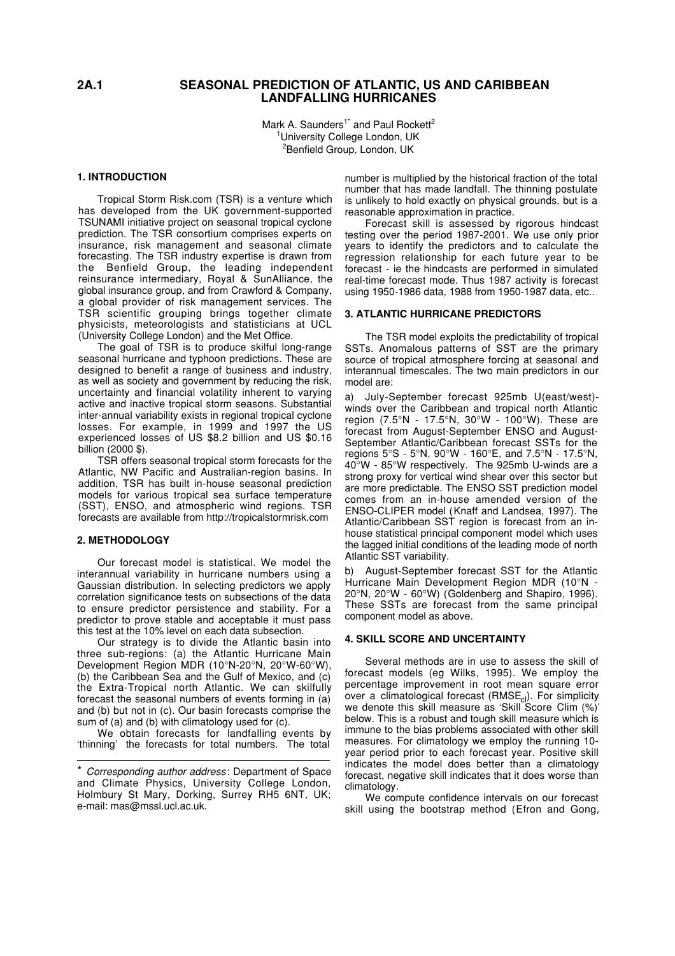# **2A.1 SEASONAL PREDICTION OF ATLANTIC, US AND CARIBBEAN LANDFALLING HURRICANES**

Mark A. Saunders<sup>1\*</sup> and Paul Rockett<sup>2</sup> <sup>1</sup>University College London, UK <sup>2</sup>Benfield Group, London, UK

### **1. INTRODUCTION**

Tropical Storm Risk.com (TSR) is a venture which has developed from the UK government-supported TSUNAMI initiative project on seasonal tropical cyclone prediction. The TSR consortium comprises experts on insurance, risk management and seasonal climate forecasting. The TSR industry expertise is drawn from the Benfield Group, the leading independent reinsurance intermediary, Royal & SunAlliance, the global insurance group, and from Crawford & Company, a global provider of risk management services. The TSR scientific grouping brings together climate physicists, meteorologists and statisticians at UCL (University College London) and the Met Office.

The goal of TSR is to produce skilful long-range seasonal hurricane and typhoon predictions. These are designed to benefit a range of business and industry, as well as society and government by reducing the risk, uncertainty and financial volatility inherent to varying active and inactive tropical storm seasons. Substantial inter-annual variability exists in regional tropical cyclone losses. For example, in 1999 and 1997 the US experienced losses of US \$8.2 billion and US \$0.16 billion (2000 \$).

TSR offers seasonal tropical storm forecasts for the Atlantic, NW Pacific and Australian-region basins. In addition, TSR has built in-house seasonal prediction models for various tropical sea surface temperature (SST), ENSO, and atmospheric wind regions. TSR forecasts are available from http://tropicalstormrisk.com

### **2. METHODOLOGY**

Our forecast model is statistical. We model the interannual variability in hurricane numbers using a Gaussian distribution. In selecting predictors we apply correlation significance tests on subsections of the data to ensure predictor persistence and stability. For a predictor to prove stable and acceptable it must pass this test at the 10% level on each data subsection.

Our strategy is to divide the Atlantic basin into three sub-regions: (a) the Atlantic Hurricane Main Development Region MDR (10°N-20°N, 20°W-60°W), (b) the Caribbean Sea and the Gulf of Mexico, and (c) the Extra-Tropical north Atlantic. We can skilfully forecast the seasonal numbers of events forming in (a) and (b) but not in (c). Our basin forecasts comprise the sum of (a) and (b) with climatology used for (c).

We obtain forecasts for landfalling events by 'thinning' the forecasts for total numbers. The total \_\_\_\_\_\_\_\_\_\_\_\_\_\_\_\_\_\_\_\_\_\_\_\_\_\_\_\_\_\_\_\_\_\_\_\_\_\_\_\_\_ \_\_\_

number is multiplied by the historical fraction of the total number that has made landfall. The thinning postulate is unlikely to hold exactly on physical grounds, but is a reasonable approximation in practice.

Forecast skill is assessed by rigorous hindcast testing over the period 1987-2001. We use only prior years to identify the predictors and to calculate the regression relationship for each future year to be forecast - ie the hindcasts are performed in simulated real-time forecast mode. Thus 1987 activity is forecast using 1950-1986 data, 1988 from 1950-1987 data, etc..

### **3. ATLANTIC HURRICANE PREDICTORS**

The TSR model exploits the predictability of tropical SSTs. Anomalous patterns of SST are the primary source of tropical atmosphere forcing at seasonal and interannual timescales. The two main predictors in our model are:

a) July-September forecast 925mb U(east/west) winds over the Caribbean and tropical north Atlantic region (7.5°N - 17.5°N, 30°W - 100°W). These are forecast from August-September ENSO and August-September Atlantic/Caribbean forecast SSTs for the regions 5°S - 5°N, 90°W - 160°E, and 7.5°N - 17.5°N, 40°W - 85°W respectively. The 925mb U-winds are a strong proxy for vertical wind shear over this sector but are more predictable. The ENSO SST prediction model comes from an in-house amended version of the ENSO-CLIPER model (Knaff and Landsea, 1997). The Atlantic/Caribbean SST region is forecast from an inhouse statistical principal component model which uses the lagged initial conditions of the leading mode of north Atlantic SST variability.

b) August-September forecast SST for the Atlantic Hurricane Main Development Region MDR (10°N - 20°N, 20°W - 60°W) (Goldenberg and Shapiro, 1996). These SSTs are forecast from the same principal component model as above.

#### **4. SKILL SCORE AND UNCERTAINTY**

Several methods are in use to assess the skill of forecast models (eg Wilks, 1995). We employ the percentage improvement in root mean square error over a climatological forecast (RMSE<sub>cl</sub>). For simplicity<br>we denote this skill measure as 'Skill Score Clim (%)' below. This is a robust and tough skill measure which is immune to the bias problems associated with other skill measures. For climatology we employ the running 10 year period prior to each forecast year. Positive skill indicates the model does better than a climatology forecast, negative skill indicates that it does worse than climatology.

We compute confidence intervals on our forecast skill using the bootstrap method (Efron and Gong,

<sup>\*</sup> *Corresponding author address*: Department of Space and Climate Physics, University College London, Holmbury St Mary, Dorking, Surrey RH5 6NT, UK; e-mail: mas@mssl.ucl.ac.uk.